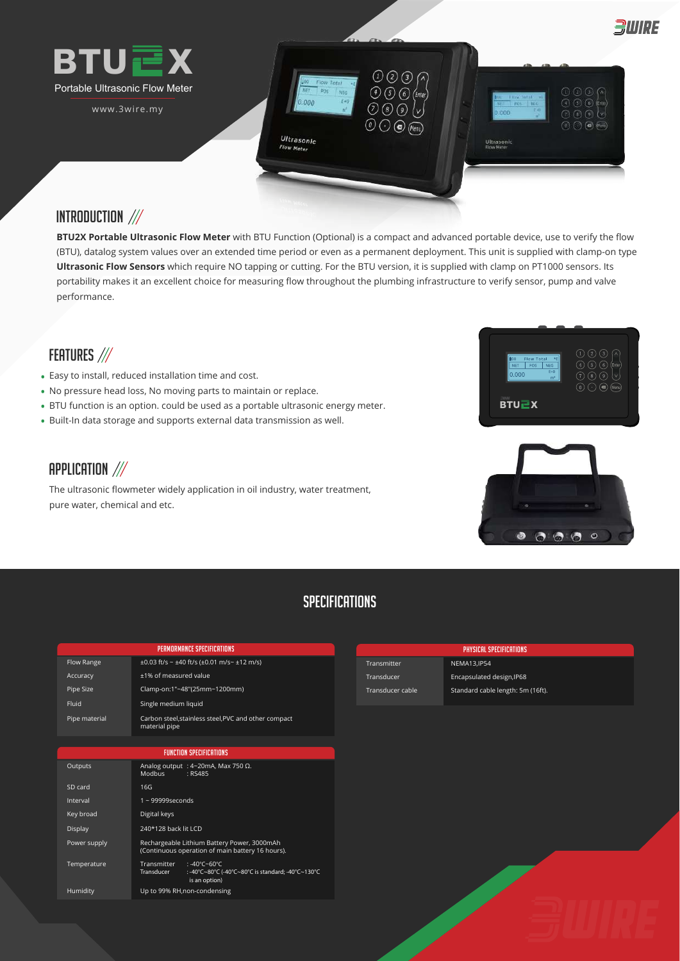

# INTRODUCTION ///

**BTU2X Portable Ultrasonic Flow Meter** with BTU Function (Optional) is a compact and advanced portable device, use to verify the flow (BTU), datalog system values over an extended time period or even as a permanent deployment. This unit is supplied with clamp-on type **Ultrasonic Flow Sensors** which require NO tapping or cutting. For the BTU version, it is supplied with clamp on PT1000 sensors. Its portability makes it an excellent choice for measuring flow throughout the plumbing infrastructure to verify sensor, pump and valve performance.

# FEATURES ///

- Easy to install, reduced installation time and cost. **•**
- No pressure head loss, No moving parts to maintain or replace. **•**
- BTU function is an option. could be used as a portable ultrasonic energy meter. **•**
- Built-In data storage and supports external data transmission as well. **•**

# APPLICATION  $\frac{1}{2}$

The ultrasonic flowmeter widely application in oil industry, water treatment, pure water, chemical and etc.





# **SPECIFICATIONS**

| PERMORMANCE SPECIFICATIONS     |                                                                                                                       |  |
|--------------------------------|-----------------------------------------------------------------------------------------------------------------------|--|
| <b>Flow Range</b>              | $\pm 0.03$ ft/s ~ $\pm 40$ ft/s ( $\pm 0.01$ m/s~ $\pm 12$ m/s)                                                       |  |
| Accuracy                       | ±1% of measured value                                                                                                 |  |
| Pipe Size                      | Clamp-on:1"~48"(25mm~1200mm)                                                                                          |  |
| Fluid                          | Single medium liquid                                                                                                  |  |
| Pipe material                  | Carbon steel, stainless steel, PVC and other compact<br>material pipe                                                 |  |
|                                |                                                                                                                       |  |
| <b>FUNCTION SPECIFICATIONS</b> |                                                                                                                       |  |
| Outputs                        | Analog output : 4~20mA, Max 750 $\Omega$ .<br><b>Modbus</b><br>: RS485                                                |  |
| SD card                        | 16G                                                                                                                   |  |
| Interval                       | $1 - 99999$ seconds                                                                                                   |  |
| Key broad                      | Digital keys                                                                                                          |  |
| Display                        | 240*128 back lit LCD                                                                                                  |  |
| Power supply                   | Rechargeable Lithium Battery Power, 3000mAh<br>(Continuous operation of main battery 16 hours).                       |  |
| Temperature                    | <b>Transmitter</b><br>: -40°C~60°C<br>Transducer<br>:-40°C~80°C (-40°C~80°C is standard; -40°C~130°C<br>is an option) |  |

Humidity Up to 99% RH,non-condensing

|                  | PHYSICAL SPECIFICATIONS           |
|------------------|-----------------------------------|
| Transmitter      | <b>NEMA13, IP54</b>               |
| Transducer       | Encapsulated design, IP68         |
| Transducer cable | Standard cable length: 5m (16ft). |